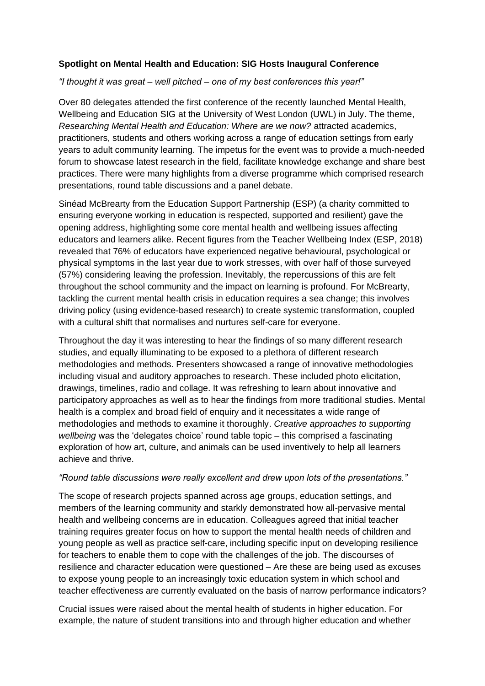## **Spotlight on Mental Health and Education: SIG Hosts Inaugural Conference**

## *"I thought it was great – well pitched – one of my best conferences this year!"*

Over 80 delegates attended the first conference of the recently launched Mental Health, Wellbeing and Education SIG at the University of West London (UWL) in July. The theme, *Researching Mental Health and Education: Where are we now?* attracted academics, practitioners, students and others working across a range of education settings from early years to adult community learning. The impetus for the event was to provide a much-needed forum to showcase latest research in the field, facilitate knowledge exchange and share best practices. There were many highlights from a diverse programme which comprised research presentations, round table discussions and a panel debate.

Sinéad McBrearty from the Education Support Partnership (ESP) (a charity committed to ensuring everyone working in education is respected, supported and resilient) gave the opening address, highlighting some core mental health and wellbeing issues affecting educators and learners alike. Recent figures from the Teacher Wellbeing Index (ESP, 2018) revealed that 76% of educators have experienced negative behavioural, psychological or physical symptoms in the last year due to work stresses, with over half of those surveyed (57%) considering leaving the profession. Inevitably, the repercussions of this are felt throughout the school community and the impact on learning is profound. For McBrearty, tackling the current mental health crisis in education requires a sea change; this involves driving policy (using evidence-based research) to create systemic transformation, coupled with a cultural shift that normalises and nurtures self-care for everyone.

Throughout the day it was interesting to hear the findings of so many different research studies, and equally illuminating to be exposed to a plethora of different research methodologies and methods. Presenters showcased a range of innovative methodologies including visual and auditory approaches to research. These included photo elicitation, drawings, timelines, radio and collage. It was refreshing to learn about innovative and participatory approaches as well as to hear the findings from more traditional studies. Mental health is a complex and broad field of enquiry and it necessitates a wide range of methodologies and methods to examine it thoroughly. *Creative approaches to supporting wellbeing* was the 'delegates choice' round table topic – this comprised a fascinating exploration of how art, culture, and animals can be used inventively to help all learners achieve and thrive.

## *"Round table discussions were really excellent and drew upon lots of the presentations."*

The scope of research projects spanned across age groups, education settings, and members of the learning community and starkly demonstrated how all-pervasive mental health and wellbeing concerns are in education. Colleagues agreed that initial teacher training requires greater focus on how to support the mental health needs of children and young people as well as practice self-care, including specific input on developing resilience for teachers to enable them to cope with the challenges of the job. The discourses of resilience and character education were questioned – Are these are being used as excuses to expose young people to an increasingly toxic education system in which school and teacher effectiveness are currently evaluated on the basis of narrow performance indicators?

Crucial issues were raised about the mental health of students in higher education. For example, the nature of student transitions into and through higher education and whether